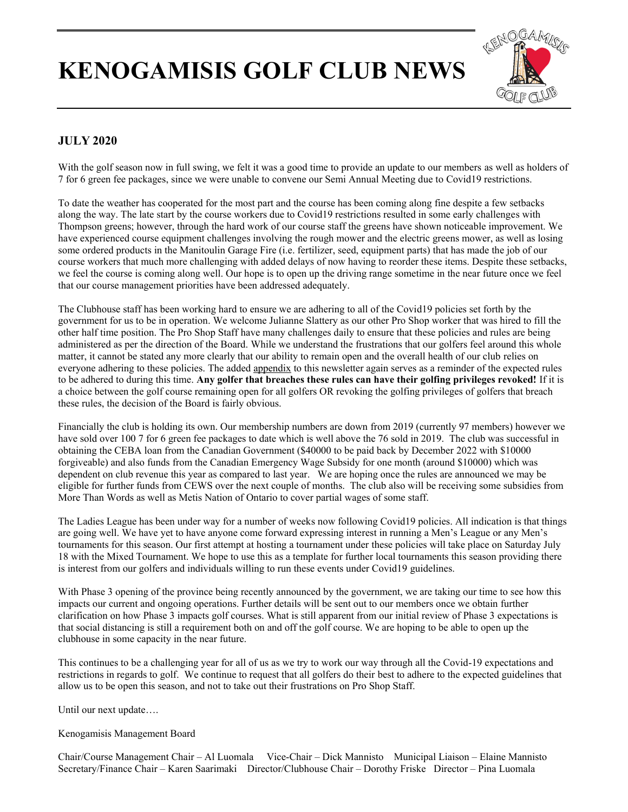## **KENOGAMISIS GOLF CLUB NEWS**



## **JULY 2020**

With the golf season now in full swing, we felt it was a good time to provide an update to our members as well as holders of 7 for 6 green fee packages, since we were unable to convene our Semi Annual Meeting due to Covid19 restrictions.

To date the weather has cooperated for the most part and the course has been coming along fine despite a few setbacks along the way. The late start by the course workers due to Covid19 restrictions resulted in some early challenges with Thompson greens; however, through the hard work of our course staff the greens have shown noticeable improvement. We have experienced course equipment challenges involving the rough mower and the electric greens mower, as well as losing some ordered products in the Manitoulin Garage Fire (i.e. fertilizer, seed, equipment parts) that has made the job of our course workers that much more challenging with added delays of now having to reorder these items. Despite these setbacks, we feel the course is coming along well. Our hope is to open up the driving range sometime in the near future once we feel that our course management priorities have been addressed adequately.

The Clubhouse staff has been working hard to ensure we are adhering to all of the Covid19 policies set forth by the government for us to be in operation. We welcome Julianne Slattery as our other Pro Shop worker that was hired to fill the other half time position. The Pro Shop Staff have many challenges daily to ensure that these policies and rules are being administered as per the direction of the Board. While we understand the frustrations that our golfers feel around this whole matter, it cannot be stated any more clearly that our ability to remain open and the overall health of our club relies on everyone adhering to these policies. The added appendix to this newsletter again serves as a reminder of the expected rules to be adhered to during this time. **Any golfer that breaches these rules can have their golfing privileges revoked!** If it is a choice between the golf course remaining open for all golfers OR revoking the golfing privileges of golfers that breach these rules, the decision of the Board is fairly obvious.

Financially the club is holding its own. Our membership numbers are down from 2019 (currently 97 members) however we have sold over 100 7 for 6 green fee packages to date which is well above the 76 sold in 2019. The club was successful in obtaining the CEBA loan from the Canadian Government (\$40000 to be paid back by December 2022 with \$10000 forgiveable) and also funds from the Canadian Emergency Wage Subsidy for one month (around \$10000) which was dependent on club revenue this year as compared to last year. We are hoping once the rules are announced we may be eligible for further funds from CEWS over the next couple of months. The club also will be receiving some subsidies from More Than Words as well as Metis Nation of Ontario to cover partial wages of some staff.

The Ladies League has been under way for a number of weeks now following Covid19 policies. All indication is that things are going well. We have yet to have anyone come forward expressing interest in running a Men's League or any Men's tournaments for this season. Our first attempt at hosting a tournament under these policies will take place on Saturday July 18 with the Mixed Tournament. We hope to use this as a template for further local tournaments this season providing there is interest from our golfers and individuals willing to run these events under Covid19 guidelines.

With Phase 3 opening of the province being recently announced by the government, we are taking our time to see how this impacts our current and ongoing operations. Further details will be sent out to our members once we obtain further clarification on how Phase 3 impacts golf courses. What is still apparent from our initial review of Phase 3 expectations is that social distancing is still a requirement both on and off the golf course. We are hoping to be able to open up the clubhouse in some capacity in the near future.

This continues to be a challenging year for all of us as we try to work our way through all the Covid-19 expectations and restrictions in regards to golf. We continue to request that all golfers do their best to adhere to the expected guidelines that allow us to be open this season, and not to take out their frustrations on Pro Shop Staff.

Until our next update….

Kenogamisis Management Board

Chair/Course Management Chair – Al Luomala Vice-Chair – Dick Mannisto Municipal Liaison – Elaine Mannisto Secretary/Finance Chair – Karen Saarimaki Director/Clubhouse Chair – Dorothy Friske Director – Pina Luomala